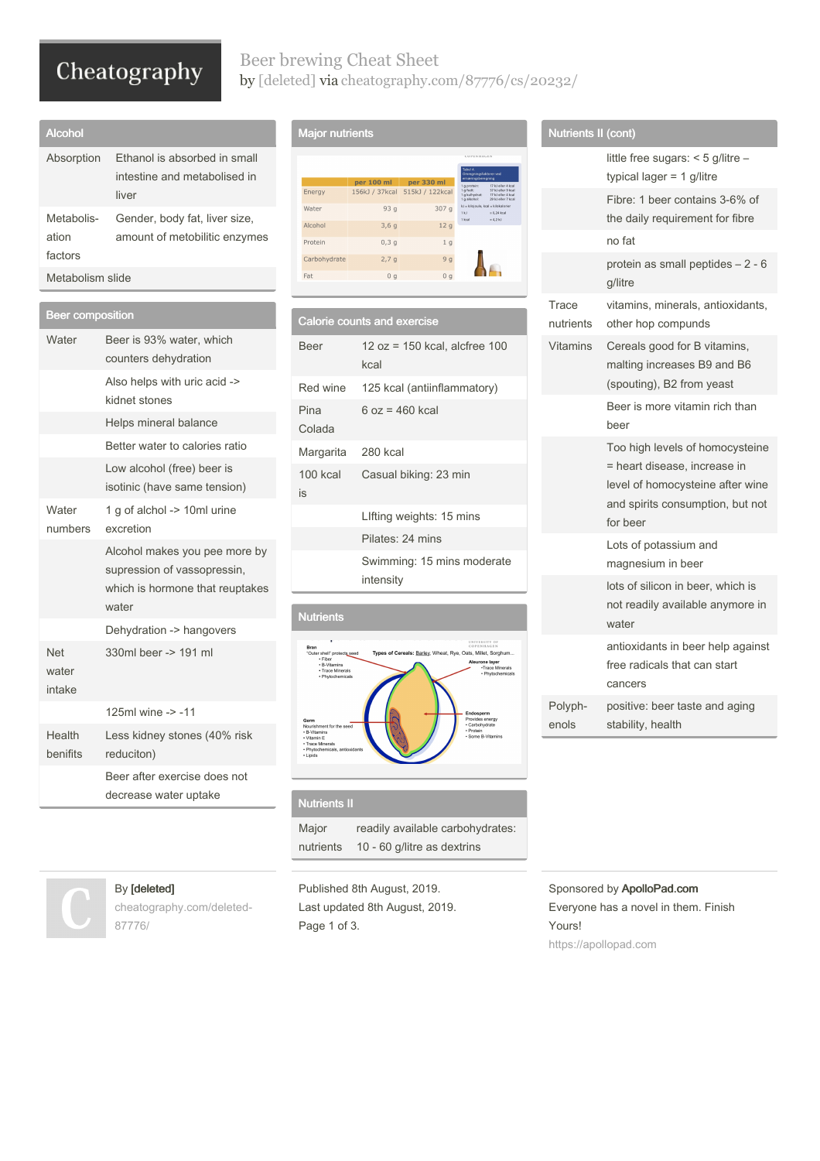# Cheatography

## Beer brewing Cheat Sheet by [\[deleted\]](http://www.cheatography.com/deleted-87776/) via [cheatography.com/87776/cs/20232/](http://www.cheatography.com/deleted-87776/cheat-sheets/beer-brewing)

| Alcohol                        |                                                                       |
|--------------------------------|-----------------------------------------------------------------------|
| Absorption                     | Ethanol is absorbed in small<br>intestine and metabolised in<br>liver |
| Metabolis-<br>ation<br>factors | Gender, body fat, liver size,<br>amount of metobilitic enzymes        |
| Metabolism slide               |                                                                       |

| <b>Beer composition</b>       |                                                                                                          |
|-------------------------------|----------------------------------------------------------------------------------------------------------|
| Water                         | Beer is 93% water, which<br>counters dehydration                                                         |
|                               | Also helps with uric acid -><br>kidnet stones                                                            |
|                               | Helps mineral balance                                                                                    |
|                               | Better water to calories ratio                                                                           |
|                               | Low alcohol (free) beer is<br>isotinic (have same tension)                                               |
| Water<br>numbers              | 1 g of alchol -> 10ml urine<br>excretion                                                                 |
|                               | Alcohol makes you pee more by<br>supression of vassopressin,<br>which is hormone that reuptakes<br>water |
|                               | Dehydration -> hangovers                                                                                 |
| <b>Net</b><br>water<br>intake | 330ml beer -> 191 ml                                                                                     |
|                               | 125ml wine -> -11                                                                                        |
| Health<br>benifits            | Less kidney stones (40% risk<br>reduciton)                                                               |
|                               | Beer after exercise does not<br>decrease water uptake                                                    |

# Major nutrients

|              |                  |                 | Tabel 4<br>Omregningsfaktorer ved<br>ernæringsberegning                                                       |
|--------------|------------------|-----------------|---------------------------------------------------------------------------------------------------------------|
|              | per 100 ml       | per 330 ml      | 17 kJ eller 4 kcal<br>1 g protein:                                                                            |
| Energy       | 156kJ / 37kcal   | 515kJ / 122kcal | 1 a fedt:<br>37 kJ eller 9 kcal<br>1 g kulhydrat:<br>17 ki eller 4 kral<br>1 g alkohol:<br>29 kJ eller 7 kcal |
| Water        | 93q              | 307 g           | kJ = kilojoule, kcal = kilokalorier<br>1 kJ<br>$= 0.24$ kcal<br>1 kcal<br>$= 4.2 kI$                          |
| Alcohol      | 3,6g             | 12 <sub>g</sub> |                                                                                                               |
| Protein      | 0,3q             | 1 <sub>g</sub>  |                                                                                                               |
| Carbohydrate | 2.7 <sub>q</sub> | 9q              |                                                                                                               |
| Fat          | 0 <sub>a</sub>   | 0 <sub>a</sub>  |                                                                                                               |

|                    | <b>Calorie counts and exercise</b>         |
|--------------------|--------------------------------------------|
| Beer               | $12 oz = 150 kcal$ , alcfree $100$<br>kcal |
|                    | Red wine 125 kcal (antiinflammatory)       |
| Pina<br>Colada     | 6 oz = 460 kcal                            |
| Margarita 280 kcal |                                            |
| 100 kcal<br>is     | Casual biking: 23 min                      |
|                    | Lifting weights: 15 mins                   |
|                    | Pilates: 24 mins                           |
|                    | Swimming: 15 mins moderate<br>intensity    |
|                    |                                            |

# Nutrients eat, Rye, Oats, Millet, Sorghum. layer<br><sub>ICC</sub> Mir

#### Nutrients II

Major nutrients readily available carbohydrates: 10 - 60 g/litre as dextrins

Published 8th August, 2019. Last updated 8th August, 2019. Page 1 of 3.

# Nutrients II (cont)

| $\frac{1}{2}$      |                                                                                                                                                     |
|--------------------|-----------------------------------------------------------------------------------------------------------------------------------------------------|
|                    | little free sugars: $<$ 5 g/litre $-$<br>typical lager = $1$ g/litre                                                                                |
|                    | Fibre: 1 beer contains 3-6% of<br>the daily requirement for fibre                                                                                   |
|                    | no fat                                                                                                                                              |
|                    | protein as small peptides - 2 - 6<br>g/litre                                                                                                        |
| Trace<br>nutrients | vitamins, minerals, antioxidants,<br>other hop compunds                                                                                             |
| <b>Vitamins</b>    | Cereals good for B vitamins,<br>malting increases B9 and B6<br>(spouting), B2 from yeast                                                            |
|                    | Beer is more vitamin rich than<br>beer                                                                                                              |
|                    | Too high levels of homocysteine<br>= heart disease, increase in<br>level of homocysteine after wine<br>and spirits consumption, but not<br>for beer |
|                    | Lots of potassium and<br>magnesium in beer                                                                                                          |
|                    | lots of silicon in beer, which is<br>not readily available anymore in<br>water                                                                      |
|                    | antioxidants in beer help against<br>free radicals that can start<br>cancers                                                                        |
| Polyph-<br>enols   | positive: beer taste and aging<br>stability, health                                                                                                 |

#### Sponsored by ApolloPad.com Everyone has a novel in them. Finish Yours! <https://apollopad.com>



By [deleted]

87776/

[cheatography.com/deleted-](http://www.cheatography.com/deleted-87776/)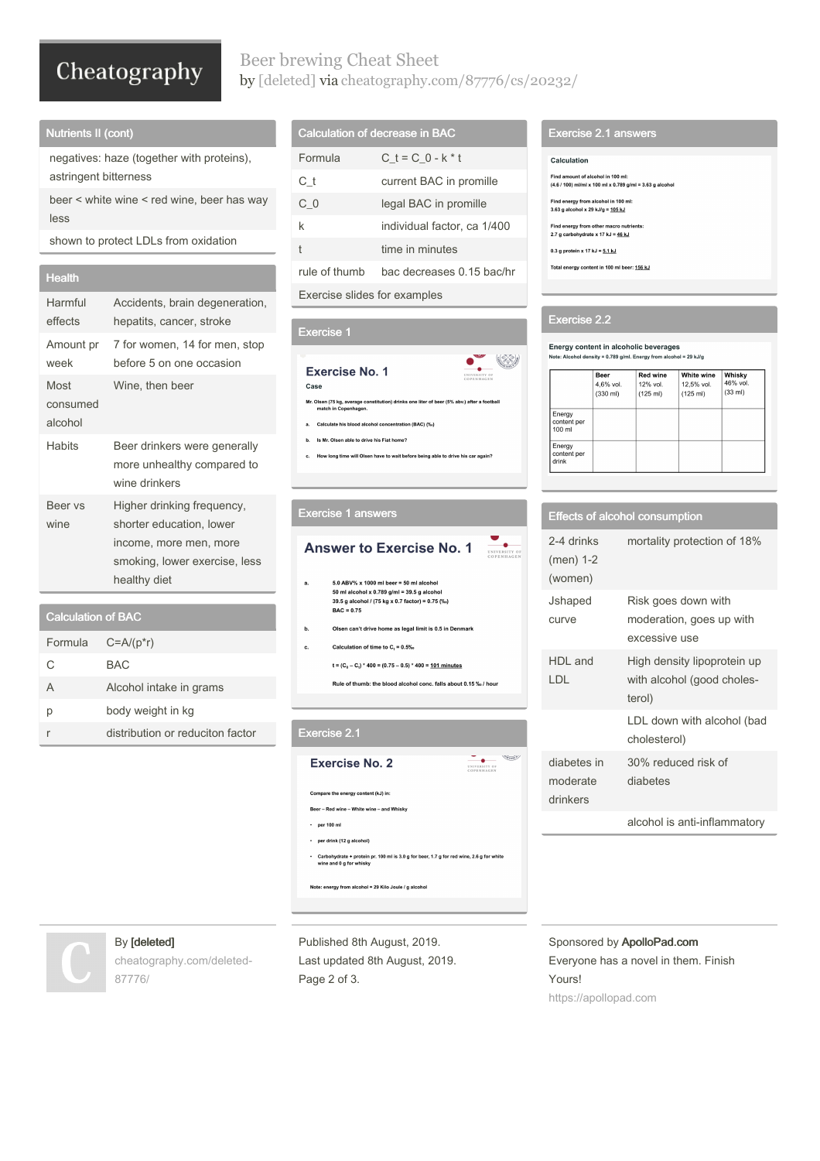# Cheatography

## Beer brewing Cheat Sheet by [\[deleted\]](http://www.cheatography.com/deleted-87776/) via [cheatography.com/87776/cs/20232/](http://www.cheatography.com/deleted-87776/cheat-sheets/beer-brewing)

#### Nutrients II (cont)

negatives: haze (together with proteins), astringent bitterness

beer < white wine < red wine, beer has way less

shown to protect LDLs from oxidation

#### **Health**

| Harmful<br>effects          | Accidents, brain degeneration,<br>hepatits, cancer, stroke                                                                        |
|-----------------------------|-----------------------------------------------------------------------------------------------------------------------------------|
| Amount pr<br>week           | 7 for women, 14 for men, stop<br>before 5 on one occasion                                                                         |
| Most<br>consumed<br>alcohol | Wine, then beer                                                                                                                   |
| <b>Habits</b>               | Beer drinkers were generally<br>more unhealthy compared to<br>wine drinkers                                                       |
| Beer vs<br>wine             | Higher drinking frequency,<br>shorter education, lower<br>income, more men, more<br>smoking, lower exercise, less<br>healthy diet |
|                             |                                                                                                                                   |

#### Calculation of BAC

| Formula | $C = A/(p^*r)$                   |
|---------|----------------------------------|
| C       | <b>BAC</b>                       |
| A       | Alcohol intake in grams          |
| р       | body weight in kg                |
|         | distribution or reduciton factor |

#### Calculation of decrease in BAC

| Formula                      | $C t = C 0 - k * t$         |
|------------------------------|-----------------------------|
| Сt                           | current BAC in promille     |
| СO                           | legal BAC in promille       |
| k                            | individual factor, ca 1/400 |
| t                            | time in minutes             |
| rule of thumb                | bac decreases 0.15 bac/hr   |
| Exercise slides for examples |                             |
|                              |                             |

#### Exercise 1

## UNIVERSITY OF **Exercise No. 1** Case Mr. Olsen (75 kg, average constitution) drinks one liter of beer (5% abv.) after a football<br>match in Copenhagen. Calculate his blood alcohol concentration (BAC) (%)  $\mathbf{a}$ b. Is Mr. Olsen able to drive his Fiat home? .<br>W long time will Olsen have to wait before being able to drive his car again Exercise 1 answers **Answer to Exercise No. 1**

- $5.0$  ABV% x 1000 ml beer = 50 ml alcohol 50 ml alcohol x 0.789 g/ml = 39.5 g alcohol<br>39.5 g alcohol / (75 kg x 0.7 factor) = 0.75 (‰)  $BAC = 0.75$
- b. Olsen can't drive home as legal limit is 0.5 in Denmark
- Calculation of time to  $C_t = 0.5\%$ c.

 $t = (C_0 - C_i) * 400 = (0.75 - 0.5) * 400 = \underline{101}$  minutes

Rule of thumb: the blood alcohol conc. falls about 0.15 %/hour

#### Exercise 2.1



#### Exercise 2.1 answers

- Calculation
- Find amount of alcohol in 100 ml:
- $(4.6 / 100)$  ml/ml x 100 ml x 0.789 g/ml = 3.63 g alcohol
- Find energy from alcohol in 100 ml:<br>3.63 g alcohol x 29 kJ/g = <u>105 kJ</u>
- Find energy from other macro nutrients:<br>2.7 g carbohydrate x 17 kJ = <u>46 kJ</u>
- 0.3 g protein x 17 kJ =  $\underline{5.1}$  kJ
- Total energy content in 100 ml beer: 156 kJ

#### Exercise 2.2

 $\left(\begin{smallmatrix} \sqrt{-1} & 0 \\ 0 & 0 \\ 0 & 0 \end{smallmatrix}\right)$ 

UNIVERSITY OF

Energy content in alcoholic beverages<br>Note: Alcohol density = 0.789 g/ml. Energy from alcohol = 29 kJ/g

|                                 | <b>Beer</b><br>4,6% vol.<br>$(330 \text{ ml})$ | <b>Red wine</b><br>12% vol.<br>(125 ml) | White wine<br>12.5% vol.<br>$(125 \text{ ml})$ | Whisky<br>46% vol.<br>(33 ml) |
|---------------------------------|------------------------------------------------|-----------------------------------------|------------------------------------------------|-------------------------------|
| Energy<br>content per<br>100 ml |                                                |                                         |                                                |                               |
| Energy<br>content per<br>drink  |                                                |                                         |                                                |                               |

|                                     | <b>Effects of alcohol consumption</b>                               |
|-------------------------------------|---------------------------------------------------------------------|
| 2-4 drinks<br>(men) 1-2<br>(women)  | mortality protection of 18%                                         |
| Jshaped<br>curve                    | Risk goes down with<br>moderation, goes up with<br>excessive use    |
| HDI and<br>LDL                      | High density lipoprotein up<br>with alcohol (good choles-<br>terol) |
|                                     | LDL down with alcohol (bad<br>cholesterol)                          |
| diabetes in<br>moderate<br>drinkers | 30% reduced risk of<br>diabetes                                     |
|                                     | alcohol is anti-inflammatory                                        |

### By [deleted]

[cheatography.com/deleted-](http://www.cheatography.com/deleted-87776/)87776/

Published 8th August, 2019. Last updated 8th August, 2019. Page 2 of 3.

Sponsored by ApolloPad.com Everyone has a novel in them. Finish Yours! <https://apollopad.com>